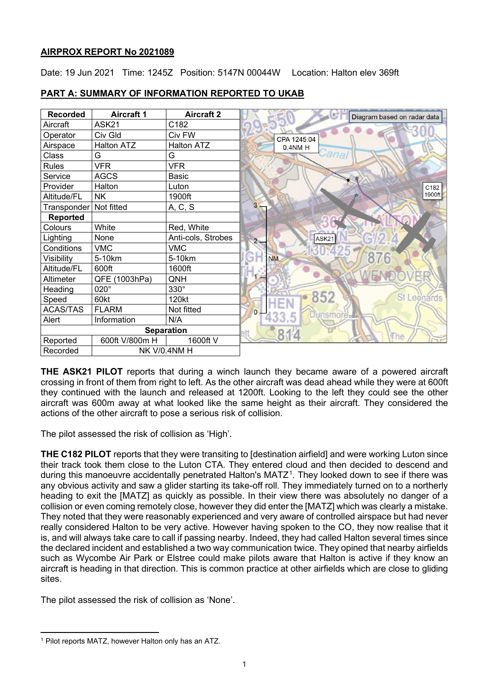# **AIRPROX REPORT No 2021089**

Date: 19 Jun 2021 Time: 1245Z Position: 5147N 00044W Location: Halton elev 369ft

| <b>Recorded</b>          | <b>Aircraft 1</b> | <b>Aircraft 2</b>  | Diagram based on radar data |
|--------------------------|-------------------|--------------------|-----------------------------|
| Aircraft                 | ASK21             | C182               |                             |
| Operator                 | Civ Gld           | Civ FW             | CPA 1245:04                 |
| Airspace                 | <b>Halton ATZ</b> | <b>Halton ATZ</b>  | 0.4NM H                     |
| Class                    | G                 | G                  | ana                         |
| <b>Rules</b>             | <b>VFR</b>        | <b>VFR</b>         |                             |
| Service                  | <b>AGCS</b>       | Basic              |                             |
| Provider                 | Halton            | Luton              | C182                        |
| Altitude/FL              | NK.               | 1900ft             | 1900ft                      |
| Transponder   Not fitted |                   | A, C, S            | 3                           |
| <b>Reported</b>          |                   |                    |                             |
| Colours                  | White             | Red, White         |                             |
| Lighting                 | None              | Anti-cols, Strobes | ASK21<br>$2 -$              |
| Conditions               | <b>VMC</b>        | <b>VMC</b>         |                             |
| Visibility               | 5-10km            | 5-10km             | 876<br>m<br><b>NM</b>       |
| Altitude/FL              | 600ft             | 1600ft             |                             |
| Altimeter                | QFE (1003hPa)     | QNH                |                             |
| Heading                  | 020°              | $330^\circ$        |                             |
| Speed                    | 60kt              | 120kt              | 852<br><b>St Leonards</b>   |
| <b>ACAS/TAS</b>          | <b>FLARM</b>      | Not fitted         | $\overline{O}$              |
| Alert                    | Information       | N/A                |                             |
| <b>Separation</b>        |                   |                    |                             |
| Reported                 | 600ft V/800m H    | 1600ft V           | he                          |
| Recorded                 |                   | NK V/0.4NM H       |                             |

# **PART A: SUMMARY OF INFORMATION REPORTED TO UKAB**

**THE ASK21 PILOT** reports that during a winch launch they became aware of a powered aircraft crossing in front of them from right to left. As the other aircraft was dead ahead while they were at 600ft they continued with the launch and released at 1200ft. Looking to the left they could see the other aircraft was 600m away at what looked like the same height as their aircraft. They considered the actions of the other aircraft to pose a serious risk of collision.

The pilot assessed the risk of collision as 'High'.

**THE C182 PILOT** reports that they were transiting to [destination airfield] and were working Luton since their track took them close to the Luton CTA. They entered cloud and then decided to descend and during this manoeuvre accidentally penetrated Halton's MATZ<sup>[1](#page-0-0)</sup>. They looked down to see if there was any obvious activity and saw a glider starting its take-off roll. They immediately turned on to a northerly heading to exit the [MATZ] as quickly as possible. In their view there was absolutely no danger of a collision or even coming remotely close, however they did enter the [MATZ] which was clearly a mistake. They noted that they were reasonably experienced and very aware of controlled airspace but had never really considered Halton to be very active. However having spoken to the CO, they now realise that it is, and will always take care to call if passing nearby. Indeed, they had called Halton several times since the declared incident and established a two way communication twice. They opined that nearby airfields such as Wycombe Air Park or Elstree could make pilots aware that Halton is active if they know an aircraft is heading in that direction. This is common practice at other airfields which are close to gliding sites.

The pilot assessed the risk of collision as 'None'.

<span id="page-0-0"></span><sup>1</sup> Pilot reports MATZ, however Halton only has an ATZ.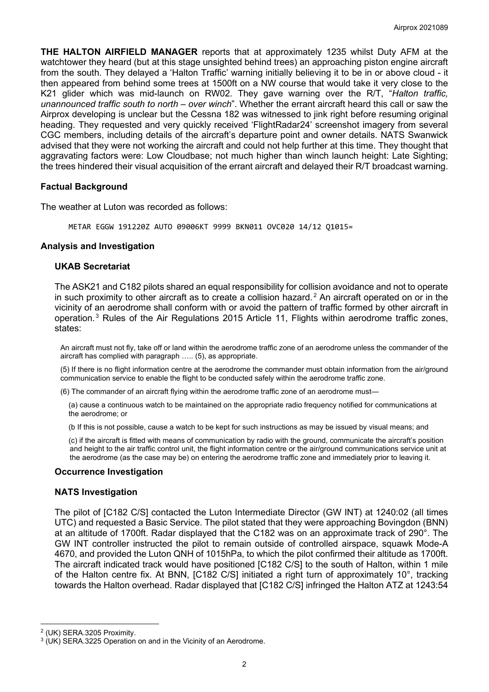**THE HALTON AIRFIELD MANAGER** reports that at approximately 1235 whilst Duty AFM at the watchtower they heard (but at this stage unsighted behind trees) an approaching piston engine aircraft from the south. They delayed a 'Halton Traffic' warning initially believing it to be in or above cloud - it then appeared from behind some trees at 1500ft on a NW course that would take it very close to the K21 glider which was mid-launch on RW02. They gave warning over the R/T, "*Halton traffic, unannounced traffic south to north – over winch*". Whether the errant aircraft heard this call or saw the Airprox developing is unclear but the Cessna 182 was witnessed to jink right before resuming original heading. They requested and very quickly received 'FlightRadar24' screenshot imagery from several CGC members, including details of the aircraft's departure point and owner details. NATS Swanwick advised that they were not working the aircraft and could not help further at this time. They thought that aggravating factors were: Low Cloudbase; not much higher than winch launch height: Late Sighting; the trees hindered their visual acquisition of the errant aircraft and delayed their R/T broadcast warning.

### **Factual Background**

The weather at Luton was recorded as follows:

METAR EGGW 191220Z AUTO 09006KT 9999 BKN011 OVC020 14/12 Q1015=

### **Analysis and Investigation**

#### **UKAB Secretariat**

The ASK21 and C182 pilots shared an equal responsibility for collision avoidance and not to operate in such proximity to other aircraft as to create a collision hazard.<sup>[2](#page-1-0)</sup> An aircraft operated on or in the vicinity of an aerodrome shall conform with or avoid the pattern of traffic formed by other aircraft in operation.[3](#page-1-1) Rules of the Air Regulations 2015 Article 11, Flights within aerodrome traffic zones, states:

An aircraft must not fly, take off or land within the aerodrome traffic zone of an aerodrome unless the commander of the aircraft has complied with paragraph ….. (5), as appropriate.

(5) If there is no flight information centre at the aerodrome the commander must obtain information from the air/ground communication service to enable the flight to be conducted safely within the aerodrome traffic zone.

(6) The commander of an aircraft flying within the aerodrome traffic zone of an aerodrome must—

(a) cause a continuous watch to be maintained on the appropriate radio frequency notified for communications at the aerodrome; or

(b If this is not possible, cause a watch to be kept for such instructions as may be issued by visual means; and

(c) if the aircraft is fitted with means of communication by radio with the ground, communicate the aircraft's position and height to the air traffic control unit, the flight information centre or the air/ground communications service unit at the aerodrome (as the case may be) on entering the aerodrome traffic zone and immediately prior to leaving it.

### **Occurrence Investigation**

### **NATS Investigation**

The pilot of [C182 C/S] contacted the Luton Intermediate Director (GW INT) at 1240:02 (all times UTC) and requested a Basic Service. The pilot stated that they were approaching Bovingdon (BNN) at an altitude of 1700ft. Radar displayed that the C182 was on an approximate track of 290°. The GW INT controller instructed the pilot to remain outside of controlled airspace, squawk Mode-A 4670, and provided the Luton QNH of 1015hPa, to which the pilot confirmed their altitude as 1700ft. The aircraft indicated track would have positioned [C182 C/S] to the south of Halton, within 1 mile of the Halton centre fix. At BNN, [C182 C/S] initiated a right turn of approximately 10°, tracking towards the Halton overhead. Radar displayed that [C182 C/S] infringed the Halton ATZ at 1243:54

<span id="page-1-0"></span><sup>2</sup> (UK) SERA.3205 Proximity.

<span id="page-1-1"></span> $3$  (UK) SERA.3225 Operation on and in the Vicinity of an Aerodrome.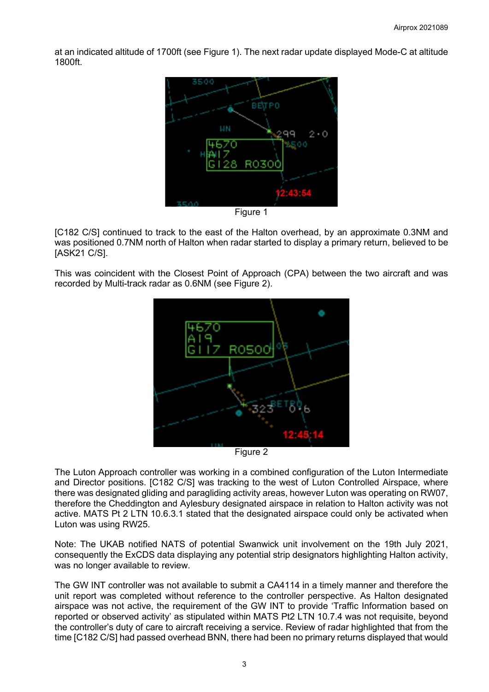at an indicated altitude of 1700ft (see Figure 1). The next radar update displayed Mode-C at altitude 1800ft.



Figure 1

[C182 C/S] continued to track to the east of the Halton overhead, by an approximate 0.3NM and was positioned 0.7NM north of Halton when radar started to display a primary return, believed to be [ASK21 C/S].

This was coincident with the Closest Point of Approach (CPA) between the two aircraft and was recorded by Multi-track radar as 0.6NM (see Figure 2).



Figure 2

The Luton Approach controller was working in a combined configuration of the Luton Intermediate and Director positions. [C182 C/S] was tracking to the west of Luton Controlled Airspace, where there was designated gliding and paragliding activity areas, however Luton was operating on RW07, therefore the Cheddington and Aylesbury designated airspace in relation to Halton activity was not active. MATS Pt 2 LTN 10.6.3.1 stated that the designated airspace could only be activated when Luton was using RW25.

Note: The UKAB notified NATS of potential Swanwick unit involvement on the 19th July 2021, consequently the ExCDS data displaying any potential strip designators highlighting Halton activity, was no longer available to review.

The GW INT controller was not available to submit a CA4114 in a timely manner and therefore the unit report was completed without reference to the controller perspective. As Halton designated airspace was not active, the requirement of the GW INT to provide 'Traffic Information based on reported or observed activity' as stipulated within MATS Pt2 LTN 10.7.4 was not requisite, beyond the controller's duty of care to aircraft receiving a service. Review of radar highlighted that from the time [C182 C/S] had passed overhead BNN, there had been no primary returns displayed that would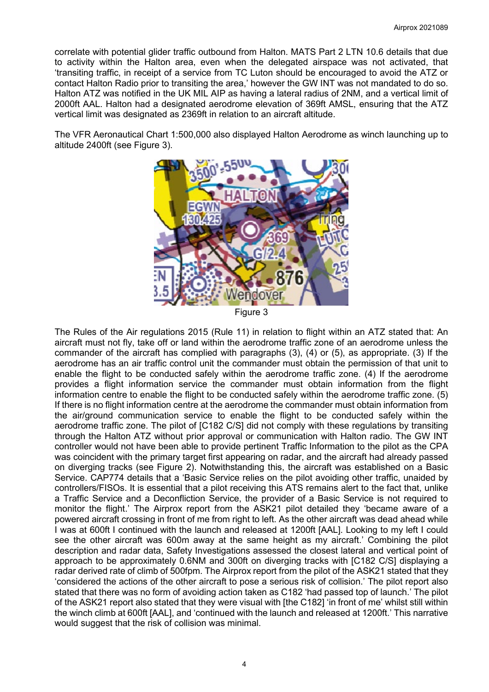correlate with potential glider traffic outbound from Halton. MATS Part 2 LTN 10.6 details that due to activity within the Halton area, even when the delegated airspace was not activated, that 'transiting traffic, in receipt of a service from TC Luton should be encouraged to avoid the ATZ or contact Halton Radio prior to transiting the area,' however the GW INT was not mandated to do so. Halton ATZ was notified in the UK MIL AIP as having a lateral radius of 2NM, and a vertical limit of 2000ft AAL. Halton had a designated aerodrome elevation of 369ft AMSL, ensuring that the ATZ vertical limit was designated as 2369ft in relation to an aircraft altitude.

The VFR Aeronautical Chart 1:500,000 also displayed Halton Aerodrome as winch launching up to altitude 2400ft (see Figure 3).



Figure 3

The Rules of the Air regulations 2015 (Rule 11) in relation to flight within an ATZ stated that: An aircraft must not fly, take off or land within the aerodrome traffic zone of an aerodrome unless the commander of the aircraft has complied with paragraphs (3), (4) or (5), as appropriate. (3) If the aerodrome has an air traffic control unit the commander must obtain the permission of that unit to enable the flight to be conducted safely within the aerodrome traffic zone. (4) If the aerodrome provides a flight information service the commander must obtain information from the flight information centre to enable the flight to be conducted safely within the aerodrome traffic zone. (5) If there is no flight information centre at the aerodrome the commander must obtain information from the air/ground communication service to enable the flight to be conducted safely within the aerodrome traffic zone. The pilot of [C182 C/S] did not comply with these regulations by transiting through the Halton ATZ without prior approval or communication with Halton radio. The GW INT controller would not have been able to provide pertinent Traffic Information to the pilot as the CPA was coincident with the primary target first appearing on radar, and the aircraft had already passed on diverging tracks (see Figure 2). Notwithstanding this, the aircraft was established on a Basic Service. CAP774 details that a 'Basic Service relies on the pilot avoiding other traffic, unaided by controllers/FISOs. It is essential that a pilot receiving this ATS remains alert to the fact that, unlike a Traffic Service and a Deconfliction Service, the provider of a Basic Service is not required to monitor the flight.' The Airprox report from the ASK21 pilot detailed they 'became aware of a powered aircraft crossing in front of me from right to left. As the other aircraft was dead ahead while I was at 600ft I continued with the launch and released at 1200ft [AAL]. Looking to my left I could see the other aircraft was 600m away at the same height as my aircraft.' Combining the pilot description and radar data, Safety Investigations assessed the closest lateral and vertical point of approach to be approximately 0.6NM and 300ft on diverging tracks with [C182 C/S] displaying a radar derived rate of climb of 500fpm. The Airprox report from the pilot of the ASK21 stated that they 'considered the actions of the other aircraft to pose a serious risk of collision.' The pilot report also stated that there was no form of avoiding action taken as C182 'had passed top of launch.' The pilot of the ASK21 report also stated that they were visual with [the C182] 'in front of me' whilst still within the winch climb at 600ft [AAL], and 'continued with the launch and released at 1200ft.' This narrative would suggest that the risk of collision was minimal.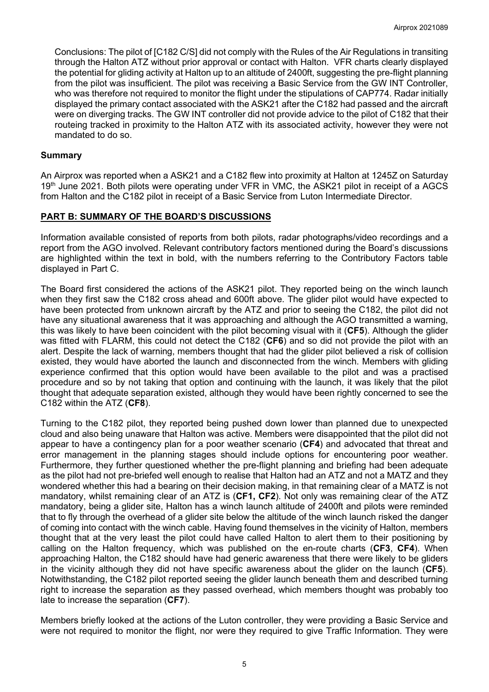Conclusions: The pilot of [C182 C/S] did not comply with the Rules of the Air Regulations in transiting through the Halton ATZ without prior approval or contact with Halton. VFR charts clearly displayed the potential for gliding activity at Halton up to an altitude of 2400ft, suggesting the pre-flight planning from the pilot was insufficient. The pilot was receiving a Basic Service from the GW INT Controller, who was therefore not required to monitor the flight under the stipulations of CAP774. Radar initially displayed the primary contact associated with the ASK21 after the C182 had passed and the aircraft were on diverging tracks. The GW INT controller did not provide advice to the pilot of C182 that their routeing tracked in proximity to the Halton ATZ with its associated activity, however they were not mandated to do so.

## **Summary**

An Airprox was reported when a ASK21 and a C182 flew into proximity at Halton at 1245Z on Saturday 19<sup>th</sup> June 2021. Both pilots were operating under VFR in VMC, the ASK21 pilot in receipt of a AGCS from Halton and the C182 pilot in receipt of a Basic Service from Luton Intermediate Director.

### **PART B: SUMMARY OF THE BOARD'S DISCUSSIONS**

Information available consisted of reports from both pilots, radar photographs/video recordings and a report from the AGO involved. Relevant contributory factors mentioned during the Board's discussions are highlighted within the text in bold, with the numbers referring to the Contributory Factors table displayed in Part C.

The Board first considered the actions of the ASK21 pilot. They reported being on the winch launch when they first saw the C182 cross ahead and 600ft above. The glider pilot would have expected to have been protected from unknown aircraft by the ATZ and prior to seeing the C182, the pilot did not have any situational awareness that it was approaching and although the AGO transmitted a warning, this was likely to have been coincident with the pilot becoming visual with it (**CF5**). Although the glider was fitted with FLARM, this could not detect the C182 (**CF6**) and so did not provide the pilot with an alert. Despite the lack of warning, members thought that had the glider pilot believed a risk of collision existed, they would have aborted the launch and disconnected from the winch. Members with gliding experience confirmed that this option would have been available to the pilot and was a practised procedure and so by not taking that option and continuing with the launch, it was likely that the pilot thought that adequate separation existed, although they would have been rightly concerned to see the C182 within the ATZ (**CF8**).

Turning to the C182 pilot, they reported being pushed down lower than planned due to unexpected cloud and also being unaware that Halton was active. Members were disappointed that the pilot did not appear to have a contingency plan for a poor weather scenario (**CF4**) and advocated that threat and error management in the planning stages should include options for encountering poor weather. Furthermore, they further questioned whether the pre-flight planning and briefing had been adequate as the pilot had not pre-briefed well enough to realise that Halton had an ATZ and not a MATZ and they wondered whether this had a bearing on their decision making, in that remaining clear of a MATZ is not mandatory, whilst remaining clear of an ATZ is (**CF1, CF2**). Not only was remaining clear of the ATZ mandatory, being a glider site, Halton has a winch launch altitude of 2400ft and pilots were reminded that to fly through the overhead of a glider site below the altitude of the winch launch risked the danger of coming into contact with the winch cable. Having found themselves in the vicinity of Halton, members thought that at the very least the pilot could have called Halton to alert them to their positioning by calling on the Halton frequency, which was published on the en-route charts (**CF3**, **CF4**). When approaching Halton, the C182 should have had generic awareness that there were likely to be gliders in the vicinity although they did not have specific awareness about the glider on the launch (**CF5**). Notwithstanding, the C182 pilot reported seeing the glider launch beneath them and described turning right to increase the separation as they passed overhead, which members thought was probably too late to increase the separation (**CF7**).

Members briefly looked at the actions of the Luton controller, they were providing a Basic Service and were not required to monitor the flight, nor were they required to give Traffic Information. They were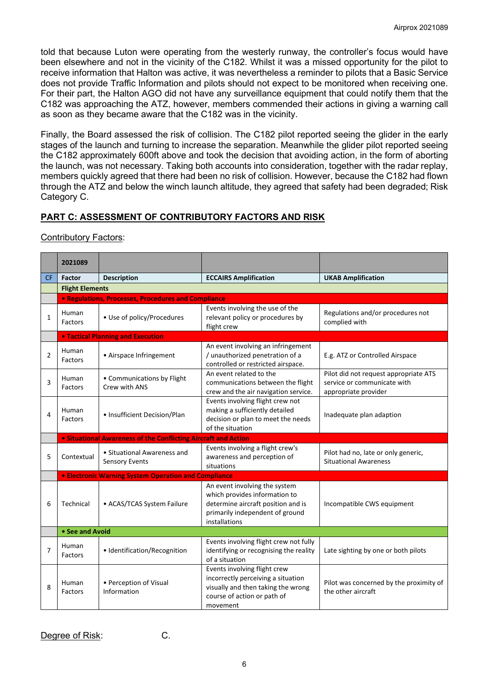told that because Luton were operating from the westerly runway, the controller's focus would have been elsewhere and not in the vicinity of the C182. Whilst it was a missed opportunity for the pilot to receive information that Halton was active, it was nevertheless a reminder to pilots that a Basic Service does not provide Traffic Information and pilots should not expect to be monitored when receiving one. For their part, the Halton AGO did not have any surveillance equipment that could notify them that the C182 was approaching the ATZ, however, members commended their actions in giving a warning call as soon as they became aware that the C182 was in the vicinity.

Finally, the Board assessed the risk of collision. The C182 pilot reported seeing the glider in the early stages of the launch and turning to increase the separation. Meanwhile the glider pilot reported seeing the C182 approximately 600ft above and took the decision that avoiding action, in the form of aborting the launch, was not necessary. Taking both accounts into consideration, together with the radar replay, members quickly agreed that there had been no risk of collision. However, because the C182 had flown through the ATZ and below the winch launch altitude, they agreed that safety had been degraded; Risk Category C.

# **PART C: ASSESSMENT OF CONTRIBUTORY FACTORS AND RISK**

## Contributory Factors:

|                | 2021089                                                   |                                                                       |                                                                                                                                                          |                                                                                              |  |  |  |  |  |  |  |
|----------------|-----------------------------------------------------------|-----------------------------------------------------------------------|----------------------------------------------------------------------------------------------------------------------------------------------------------|----------------------------------------------------------------------------------------------|--|--|--|--|--|--|--|
| <b>CF</b>      | <b>Factor</b>                                             | <b>Description</b>                                                    | <b>ECCAIRS Amplification</b>                                                                                                                             | <b>UKAB Amplification</b>                                                                    |  |  |  |  |  |  |  |
|                | <b>Flight Elements</b>                                    |                                                                       |                                                                                                                                                          |                                                                                              |  |  |  |  |  |  |  |
|                |                                                           | • Regulations, Processes, Procedures and Compliance                   |                                                                                                                                                          |                                                                                              |  |  |  |  |  |  |  |
| $\mathbf{1}$   | Human<br><b>Factors</b>                                   | • Use of policy/Procedures                                            | Events involving the use of the<br>relevant policy or procedures by<br>flight crew                                                                       | Regulations and/or procedures not<br>complied with                                           |  |  |  |  |  |  |  |
|                |                                                           | <b>. Tactical Planning and Execution</b>                              |                                                                                                                                                          |                                                                                              |  |  |  |  |  |  |  |
| $\overline{2}$ | Human<br><b>Factors</b>                                   | • Airspace Infringement                                               | An event involving an infringement<br>/ unauthorized penetration of a<br>controlled or restricted airspace.                                              | E.g. ATZ or Controlled Airspace                                                              |  |  |  |  |  |  |  |
| 3              | Human<br>Factors                                          | • Communications by Flight<br>Crew with ANS                           | An event related to the<br>communications between the flight<br>crew and the air navigation service.                                                     | Pilot did not request appropriate ATS<br>service or communicate with<br>appropriate provider |  |  |  |  |  |  |  |
| 4              | Human<br><b>Factors</b>                                   | • Insufficient Decision/Plan                                          | Events involving flight crew not<br>making a sufficiently detailed<br>decision or plan to meet the needs<br>of the situation                             | Inadequate plan adaption                                                                     |  |  |  |  |  |  |  |
|                |                                                           | <b>.</b> Situational Awareness of the Conflicting Aircraft and Action |                                                                                                                                                          |                                                                                              |  |  |  |  |  |  |  |
| 5              | Contextual                                                | • Situational Awareness and<br><b>Sensory Events</b>                  | Events involving a flight crew's<br>awareness and perception of<br>situations                                                                            | Pilot had no, late or only generic,<br><b>Situational Awareness</b>                          |  |  |  |  |  |  |  |
|                |                                                           | <b>• Electronic Warning System Operation and Compliance</b>           |                                                                                                                                                          |                                                                                              |  |  |  |  |  |  |  |
| 6              | Technical<br>• ACAS/TCAS System Failure                   |                                                                       | An event involving the system<br>which provides information to<br>determine aircraft position and is<br>primarily independent of ground<br>installations | Incompatible CWS equipment                                                                   |  |  |  |  |  |  |  |
|                | • See and Avoid                                           |                                                                       |                                                                                                                                                          |                                                                                              |  |  |  |  |  |  |  |
| 7              | Human<br>Factors                                          | · Identification/Recognition                                          | Events involving flight crew not fully<br>identifying or recognising the reality<br>of a situation                                                       | Late sighting by one or both pilots                                                          |  |  |  |  |  |  |  |
| 8              | • Perception of Visual<br>Human<br>Information<br>Factors |                                                                       | Events involving flight crew<br>incorrectly perceiving a situation<br>visually and then taking the wrong<br>course of action or path of                  | Pilot was concerned by the proximity of<br>the other aircraft                                |  |  |  |  |  |  |  |